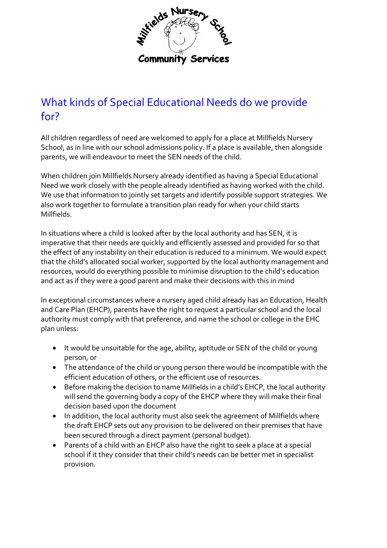

# What kinds of Special Educational Needs do we provide for?

All children regardless of need are welcomed to apply for a place at Millfields Nursery School, as in line with our school admissions policy. If a place is available, then alongside parents, we will endeavour to meet the SEN needs of the child.

When children join Millfields Nursery already identified as having a Special Educational Need we work closely with the people already identified as having worked with the child. We use that information to jointly set targets and identify possible support strategies. We also work together to formulate a transition plan ready for when your child starts Millfields.

In situations where a child is looked after by the local authority and has SEN, it is imperative that their needs are quickly and efficiently assessed and provided for so that the effect of any instability on their education is reduced to a minimum. We would expect that the child's allocated social worker, supported by the local authority management and resources, would do everything possible to minimise disruption to the child's education and act as if they were a good parent and make their decisions with this in mind

In exceptional circumstances where a nursery aged child already has an Education, Health and Care Plan (EHCP), parents have the right to request a particular school and the local authority must comply with that preference, and name the school or college in the EHC plan unless:

- It would be unsuitable for the age, ability, aptitude or SEN of the child or young person, or
- The attendance of the child or young person there would be incompatible with the efficient education of others, or the efficient use of resources.
- Before making the decision to name Millfields in a child's EHCP, the local authority will send the governing body a copy of the EHCP where they will make their final decision based upon the document
- In addition, the local authority must also seek the agreement of Millfields where the draft EHCP sets out any provision to be delivered on their premises that have been secured through a direct payment (personal budget).
- Parents of a child with an EHCP also have the right to seek a place at a special school if it they consider that their child's needs can be better met in specialist provision.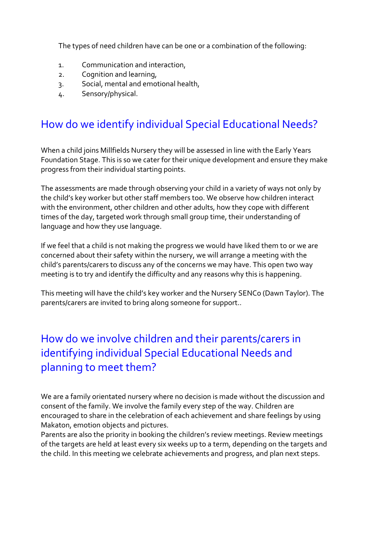The types of need children have can be one or a combination of the following:

- 1. Communication and interaction,
- 2. Cognition and learning,
- 3. Social, mental and emotional health,
- 4. Sensory/physical.

## How do we identify individual Special Educational Needs?

When a child joins Millfields Nursery they will be assessed in line with the Early Years Foundation Stage. This is so we cater for their unique development and ensure they make progress from their individual starting points.

The assessments are made through observing your child in a variety of ways not only by the child's key worker but other staff members too. We observe how children interact with the environment, other children and other adults, how they cope with different times of the day, targeted work through small group time, their understanding of language and how they use language.

If we feel that a child is not making the progress we would have liked them to or we are concerned about their safety within the nursery, we will arrange a meeting with the child's parents/carers to discuss any of the concerns we may have. This open two way meeting is to try and identify the difficulty and any reasons why this is happening.

This meeting will have the child's key worker and the Nursery SENCo (Dawn Taylor). The parents/carers are invited to bring along someone for support..

## How do we involve children and their parents/carers in identifying individual Special Educational Needs and planning to meet them?

We are a family orientated nursery where no decision is made without the discussion and consent of the family. We involve the family every step of the way. Children are encouraged to share in the celebration of each achievement and share feelings by using Makaton, emotion objects and pictures.

Parents are also the priority in booking the children's review meetings. Review meetings of the targets are held at least every six weeks up to a term, depending on the targets and the child. In this meeting we celebrate achievements and progress, and plan next steps.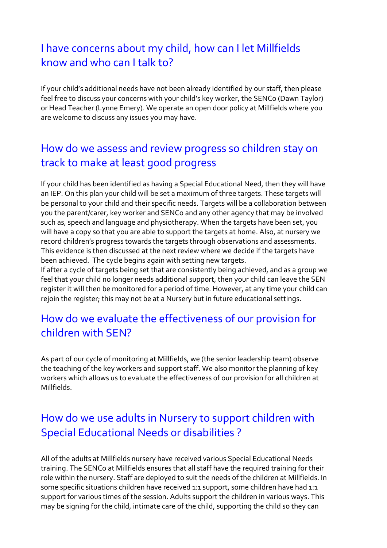## I have concerns about my child, how can I let Millfields know and who can I talk to?

If your child's additional needs have not been already identified by our staff, then please feel free to discuss your concerns with your child's key worker, the SENCo (Dawn Taylor) or Head Teacher (Lynne Emery). We operate an open door policy at Millfields where you are welcome to discuss any issues you may have.

### How do we assess and review progress so children stay on track to make at least good progress

If your child has been identified as having a Special Educational Need, then they will have an IEP. On this plan your child will be set a maximum of three targets. These targets will be personal to your child and their specific needs. Targets will be a collaboration between you the parent/carer, key worker and SENCo and any other agency that may be involved such as, speech and language and physiotherapy. When the targets have been set, you will have a copy so that you are able to support the targets at home. Also, at nursery we record children's progress towards the targets through observations and assessments. This evidence is then discussed at the next review where we decide if the targets have been achieved. The cycle begins again with setting new targets.

If after a cycle of targets being set that are consistently being achieved, and as a group we feel that your child no longer needs additional support, then your child can leave the SEN register it will then be monitored for a period of time. However, at any time your child can rejoin the register; this may not be at a Nursery but in future educational settings.

#### How do we evaluate the effectiveness of our provision for children with SEN?

As part of our cycle of monitoring at Millfields, we (the senior leadership team) observe the teaching of the key workers and support staff. We also monitor the planning of key workers which allows us to evaluate the effectiveness of our provision for all children at Millfields.

## How do we use adults in Nursery to support children with Special Educational Needs or disabilities ?

All of the adults at Millfields nursery have received various Special Educational Needs training. The SENCo at Millfields ensures that all staff have the required training for their role within the nursery. Staff are deployed to suit the needs of the children at Millfields. In some specific situations children have received 1:1 support, some children have had 1:1 support for various times of the session. Adults support the children in various ways. This may be signing for the child, intimate care of the child, supporting the child so they can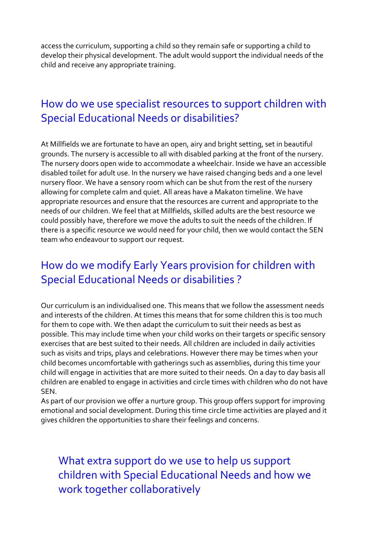access the curriculum, supporting a child so they remain safe or supporting a child to develop their physical development. The adult would support the individual needs of the child and receive any appropriate training.

#### How do we use specialist resources to support children with Special Educational Needs or disabilities?

At Millfields we are fortunate to have an open, airy and bright setting, set in beautiful grounds. The nursery is accessible to all with disabled parking at the front of the nursery. The nursery doors open wide to accommodate a wheelchair. Inside we have an accessible disabled toilet for adult use. In the nursery we have raised changing beds and a one level nursery floor. We have a sensory room which can be shut from the rest of the nursery allowing for complete calm and quiet. All areas have a Makaton timeline. We have appropriate resources and ensure that the resources are current and appropriate to the needs of our children. We feel that at Millfields, skilled adults are the best resource we could possibly have, therefore we move the adults to suit the needs of the children. If there is a specific resource we would need for your child, then we would contact the SEN team who endeavour to support our request.

## How do we modify Early Years provision for children with Special Educational Needs or disabilities ?

Our curriculum is an individualised one. This means that we follow the assessment needs and interests of the children. At times this means that for some children this is too much for them to cope with. We then adapt the curriculum to suit their needs as best as possible. This may include time when your child works on their targets or specific sensory exercises that are best suited to their needs. All children are included in daily activities such as visits and trips, plays and celebrations. However there may be times when your child becomes uncomfortable with gatherings such as assemblies, during this time your child will engage in activities that are more suited to their needs. On a day to day basis all children are enabled to engage in activities and circle times with children who do not have **SEN.** 

As part of our provision we offer a nurture group. This group offers support for improving emotional and social development. During this time circle time activities are played and it gives children the opportunities to share their feelings and concerns.

What extra support do we use to help us support children with Special Educational Needs and how we work together collaboratively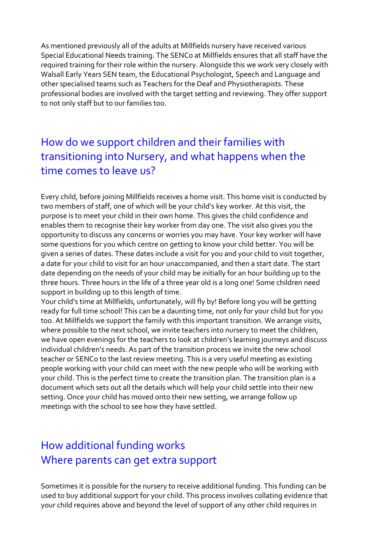As mentioned previously all of the adults at Millfields nursery have received various Special Educational Needs training. The SENCo at Millfields ensures that all staff have the required training for their role within the nursery. Alongside this we work very closely with Walsall Early Years SEN team, the Educational Psychologist, Speech and Language and other specialised teams such as Teachers for the Deaf and Physiotherapists. These professional bodies are involved with the target setting and reviewing. They offer support to not only staff but to our families too.

### How do we support children and their families with transitioning into Nursery, and what happens when the time comes to leave us?

Every child, before joining Millfields receives a home visit. This home visit is conducted by two members of staff, one of which will be your child's key worker. At this visit, the purpose is to meet your child in their own home. This gives the child confidence and enables them to recognise their key worker from day one. The visit also gives you the opportunity to discuss any concerns or worries you may have. Your key worker will have some questions for you which centre on getting to know your child better. You will be given a series of dates. These dates include a visit for you and your child to visit together, a date for your child to visit for an hour unaccompanied, and then a start date. The start date depending on the needs of your child may be initially for an hour building up to the three hours. Three hours in the life of a three year old is a long one! Some children need support in building up to this length of time.

Your child's time at Millfields, unfortunately, will fly by! Before long you will be getting ready for full time school! This can be a daunting time, not only for your child but for you too. At Millfields we support the family with this important transition. We arrange visits, where possible to the next school, we invite teachers into nursery to meet the children, we have open evenings for the teachers to look at children's learning journeys and discuss individual children's needs. As part of the transition process we invite the new school teacher or SENCo to the last review meeting. This is a very useful meeting as existing people working with your child can meet with the new people who will be working with your child. This is the perfect time to create the transition plan. The transition plan is a document which sets out all the details which will help your child settle into their new setting. Once your child has moved onto their new setting, we arrange follow up meetings with the school to see how they have settled.

#### How additional funding works Where parents can get extra support

Sometimes it is possible for the nursery to receive additional funding. This funding can be used to buy additional support for your child. This process involves collating evidence that your child requires above and beyond the level of support of any other child requires in